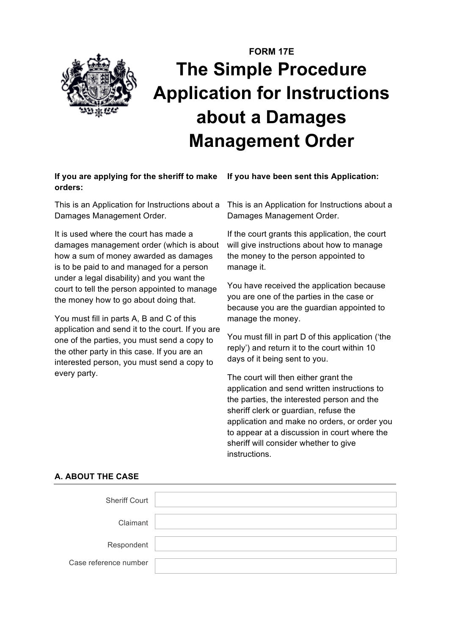

# **FORM 17E The Simple Procedure Application for Instructions about a Damages Management Order**

## **If you are applying for the sheriff to make orders:**

This is an Application for Instructions about a Damages Management Order.

It is used where the court has made a damages management order (which is about how a sum of money awarded as damages is to be paid to and managed for a person under a legal disability) and you want the court to tell the person appointed to manage the money how to go about doing that.

You must fill in parts A, B and C of this application and send it to the court. If you are one of the parties, you must send a copy to the other party in this case. If you are an interested person, you must send a copy to every party.

**If you have been sent this Application:**

This is an Application for Instructions about a Damages Management Order.

If the court grants this application, the court will give instructions about how to manage the money to the person appointed to manage it.

You have received the application because you are one of the parties in the case or because you are the guardian appointed to manage the money.

You must fill in part D of this application ('the reply') and return it to the court within 10 days of it being sent to you.

The court will then either grant the application and send written instructions to the parties, the interested person and the sheriff clerk or guardian, refuse the application and make no orders, or order you to appear at a discussion in court where the sheriff will consider whether to give instructions.

| <b>Sheriff Court</b>  |  |
|-----------------------|--|
|                       |  |
| Claimant              |  |
|                       |  |
| Respondent            |  |
|                       |  |
| Case reference number |  |
|                       |  |

## **A. ABOUT THE CASE**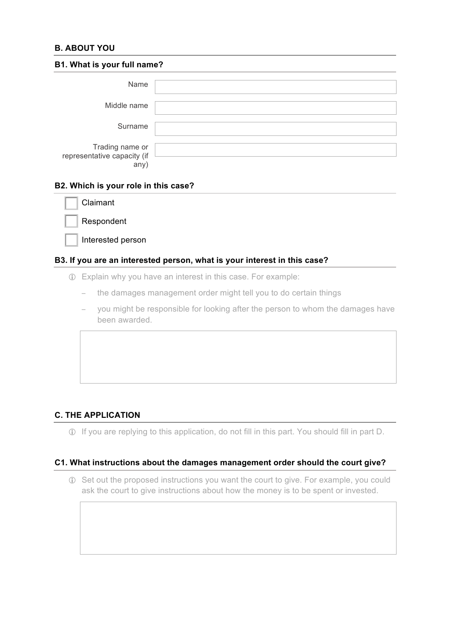## **B. ABOUT YOU**

| B1. What is your full name?                           |  |  |  |  |
|-------------------------------------------------------|--|--|--|--|
| Name                                                  |  |  |  |  |
| Middle name                                           |  |  |  |  |
| Surname                                               |  |  |  |  |
| Trading name or<br>representative capacity (if<br>any |  |  |  |  |

## **B2. Which is your role in this case?**

| Claimant   |
|------------|
| Respondent |

Interested person

#### **B3. If you are an interested person, what is your interest in this case?**

- ! Explain why you have an interest in this case. For example:
	- − the damages management order might tell you to do certain things
	- − you might be responsible for looking after the person to whom the damages have been awarded.

## **C. THE APPLICATION**

! If you are replying to this application, do not fill in this part. You should fill in part D.

## **C1. What instructions about the damages management order should the court give?**

! Set out the proposed instructions you want the court to give. For example, you could ask the court to give instructions about how the money is to be spent or invested.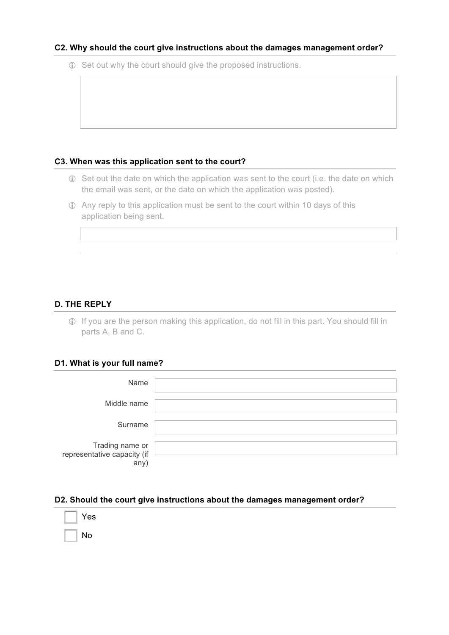#### **C2. Why should the court give instructions about the damages management order?**

! Set out why the court should give the proposed instructions.

## **C3. When was this application sent to the court?**

- ! Set out the date on which the application was sent to the court (i.e. the date on which the email was sent, or the date on which the application was posted).
- ! Any reply to this application must be sent to the court within 10 days of this application being sent.

# **D. THE REPLY**

! If you are the person making this application, do not fill in this part. You should fill in parts A, B and C.

#### **D1. What is your full name?**

| Name                                                   |  |
|--------------------------------------------------------|--|
| Middle name                                            |  |
| Surname                                                |  |
| Trading name or<br>representative capacity (if<br>any) |  |

#### **D2. Should the court give instructions about the damages management order?**

| $\parallel$ Yes |                |  |  |  |
|-----------------|----------------|--|--|--|
| $\mathbf{L}$    | $\parallel$ No |  |  |  |